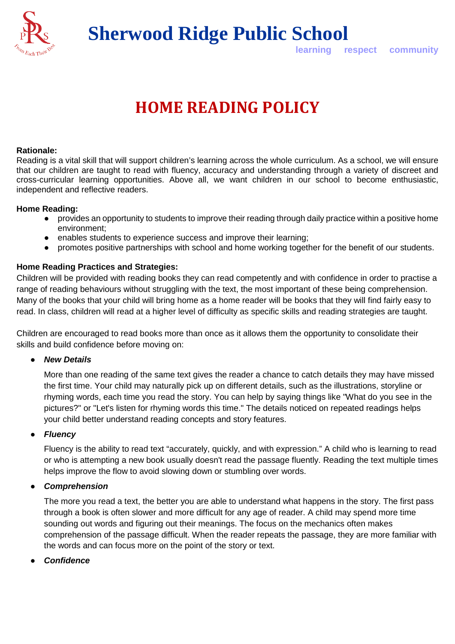

**Sherwood Ridge Public School**

**learning respect community**

# **HOME READING POLICY**

#### **Rationale:**

Reading is a vital skill that will support children's learning across the whole curriculum. As a school, we will ensure that our children are taught to read with fluency, accuracy and understanding through a variety of discreet and cross-curricular learning opportunities. Above all, we want children in our school to become enthusiastic, independent and reflective readers.

#### **Home Reading:**

- provides an opportunity to students to improve their reading through daily practice within a positive home environment;
- enables students to experience success and improve their learning;
- promotes positive partnerships with school and home working together for the benefit of our students.

#### **Home Reading Practices and Strategies:**

Children will be provided with reading books they can read competently and with confidence in order to practise a range of reading behaviours without struggling with the text, the most important of these being comprehension. Many of the books that your child will bring home as a home reader will be books that they will find fairly easy to read. In class, children will read at a higher level of difficulty as specific skills and reading strategies are taught.

Children are encouraged to read books more than once as it allows them the opportunity to consolidate their skills and build confidence before moving on:

● *New Details*

More than one reading of the same text gives the reader a chance to catch details they may have missed the first time. Your child may naturally pick up on different details, such as the illustrations, storyline or rhyming words, each time you read the story. You can help by saying things like "What do you see in the pictures?" or "Let's listen for rhyming words this time." The details noticed on repeated readings helps your child better understand reading concepts and story features.

#### ● *Fluency*

Fluency is the ability to read text ["accurately, quickly, and with expression."](http://www.readingrockets.org/teaching/reading101/fluency) A child who is learning to read or who is attempting a new book usually doesn't read the passage fluently. Reading the text multiple times helps improve the flow to avoid slowing down or stumbling over words.

#### ● *Comprehension*

The more you read a text, the better you are able to understand what happens in the story. The first pass through a book is often slower and more difficult for any age of reader. A child may spend more time sounding out words and figuring out their meanings. The focus on the mechanics often makes comprehension of the passage difficult. When the reader repeats the passage, they are more familiar with the words and can focus more on the point of the story or text.

● *Confidence*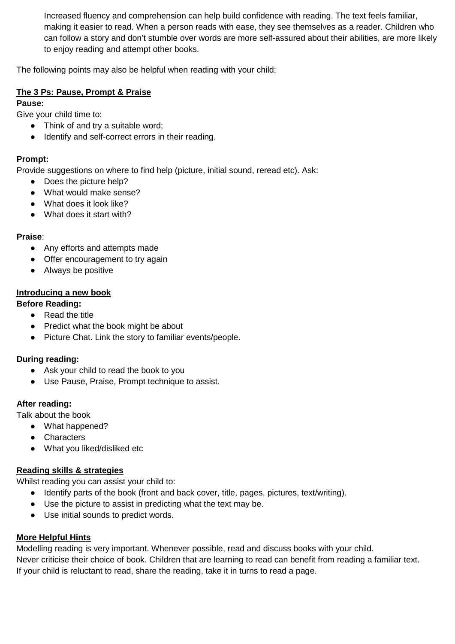Increased fluency and comprehension can help build confidence with reading. The text feels familiar, making it easier to read. When a person reads with ease, they see themselves as a reader. Children who can follow a story and don't stumble over words are more self-assured about their abilities, are more likely to enjoy reading and attempt other books.

The following points may also be helpful when reading with your child:

#### **The 3 Ps: Pause, Prompt & Praise**

#### **Pause:**

Give your child time to:

- Think of and try a suitable word;
- Identify and self-correct errors in their reading.

## **Prompt:**

Provide suggestions on where to find help (picture, initial sound, reread etc). Ask:

- Does the picture help?
- What would make sense?
- What does it look like?
- What does it start with?

## **Praise**:

- Any efforts and attempts made
- Offer encouragement to try again
- Always be positive

## **Introducing a new book**

## **Before Reading:**

- Read the title
- Predict what the book might be about
- Picture Chat. Link the story to familiar events/people.

## **During reading:**

- Ask your child to read the book to you
- Use Pause, Praise, Prompt technique to assist.

# **After reading:**

Talk about the book

- What happened?
	- Characters
	- What you liked/disliked etc

## **Reading skills & strategies**

Whilst reading you can assist your child to:

- Identify parts of the book (front and back cover, title, pages, pictures, text/writing).
- Use the picture to assist in predicting what the text may be.
- Use initial sounds to predict words.

## **More Helpful Hints**

Modelling reading is very important. Whenever possible, read and discuss books with your child. Never criticise their choice of book. Children that are learning to read can benefit from reading a familiar text. If your child is reluctant to read, share the reading, take it in turns to read a page.